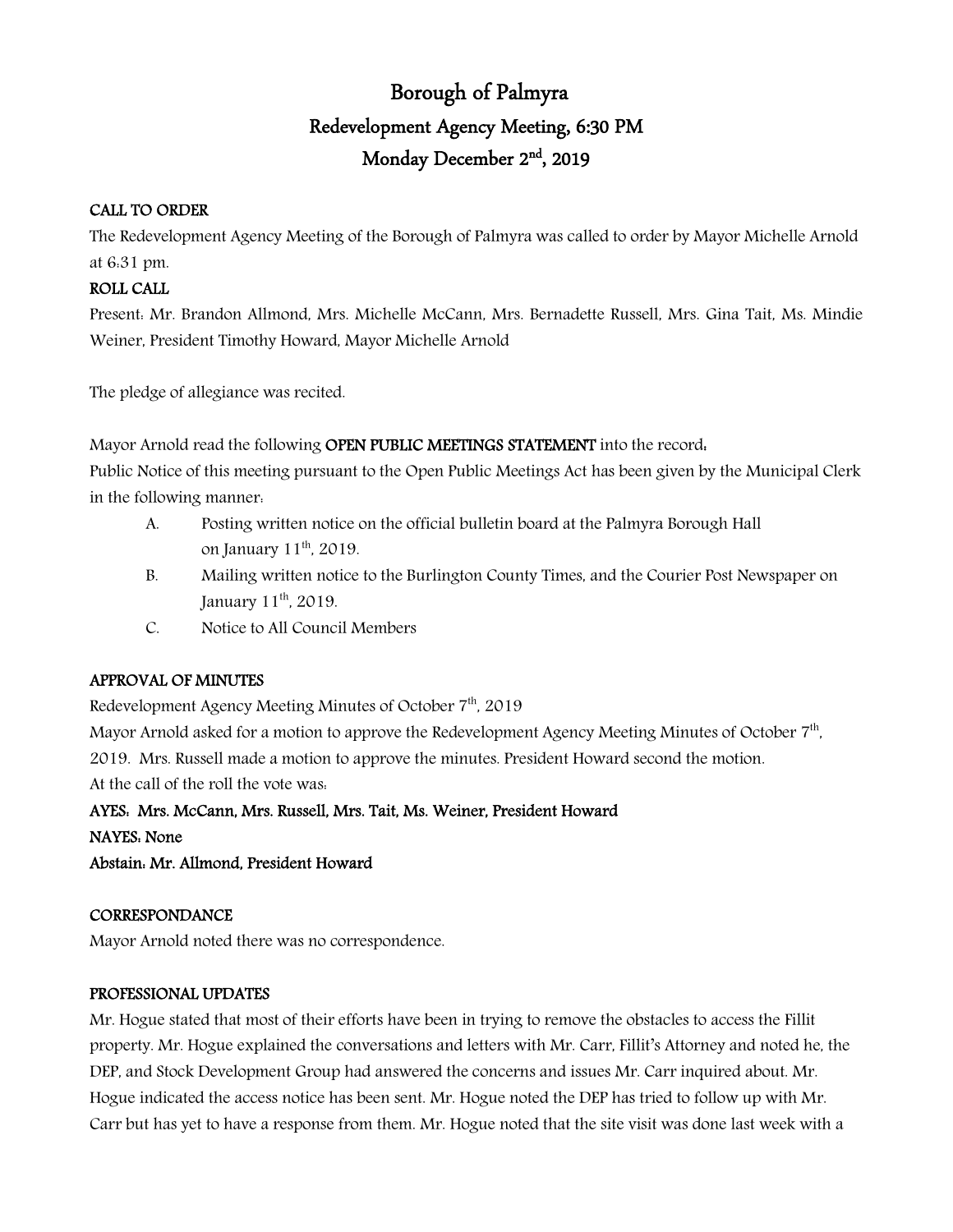# Borough of Palmyra Redevelopment Agency Meeting, 6:30 PM Monday December 2nd, 2019

## CALL TO ORDER

The Redevelopment Agency Meeting of the Borough of Palmyra was called to order by Mayor Michelle Arnold at 6:31 pm.

## ROLL CALL

Present: Mr. Brandon Allmond, Mrs. Michelle McCann, Mrs. Bernadette Russell, Mrs. Gina Tait, Ms. Mindie Weiner, President Timothy Howard, Mayor Michelle Arnold

The pledge of allegiance was recited.

Mayor Arnold read the following OPEN PUBLIC MEETINGS STATEMENT into the record. Public Notice of this meeting pursuant to the Open Public Meetings Act has been given by the Municipal Clerk in the following manner:

- A. Posting written notice on the official bulletin board at the Palmyra Borough Hall on January  $11<sup>th</sup>$ , 2019.
- B. Mailing written notice to the Burlington County Times, and the Courier Post Newspaper on January  $11<sup>th</sup>$ , 2019.
- C. Notice to All Council Members

# APPROVAL OF MINUTES

Redevelopment Agency Meeting Minutes of October 7<sup>th</sup>, 2019

Mayor Arnold asked for a motion to approve the Redevelopment Agency Meeting Minutes of October 7<sup>th</sup>, 2019. Mrs. Russell made a motion to approve the minutes. President Howard second the motion. At the call of the roll the vote was:

AYES: Mrs. McCann, Mrs. Russell, Mrs. Tait, Ms. Weiner, President Howard

NAYES: None

Abstain: Mr. Allmond, President Howard

## **CORRESPONDANCE**

Mayor Arnold noted there was no correspondence.

## PROFESSIONAL UPDATES

Mr. Hogue stated that most of their efforts have been in trying to remove the obstacles to access the Fillit property. Mr. Hogue explained the conversations and letters with Mr. Carr, Fillit's Attorney and noted he, the DEP, and Stock Development Group had answered the concerns and issues Mr. Carr inquired about. Mr. Hogue indicated the access notice has been sent. Mr. Hogue noted the DEP has tried to follow up with Mr. Carr but has yet to have a response from them. Mr. Hogue noted that the site visit was done last week with a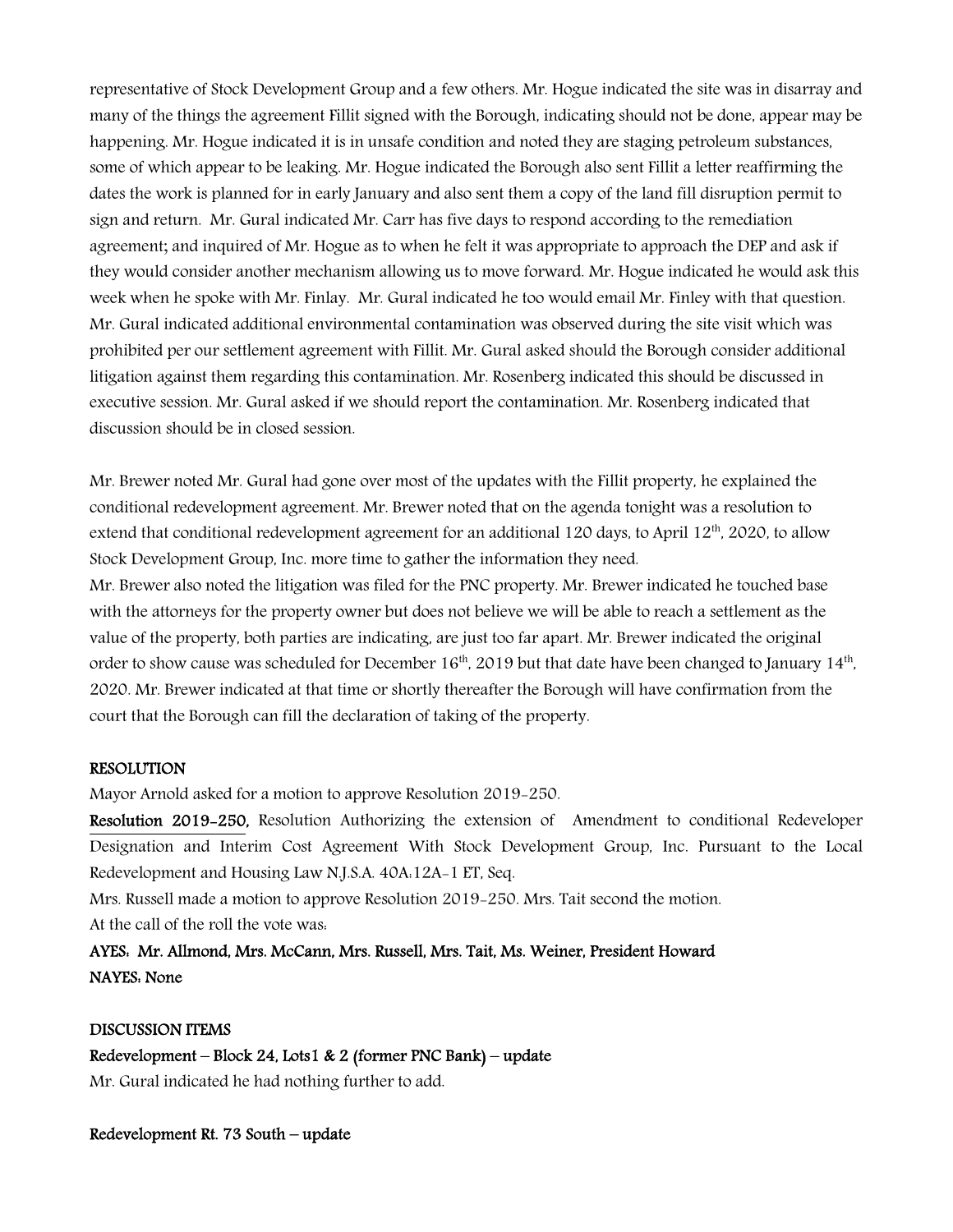representative of Stock Development Group and a few others. Mr. Hogue indicated the site was in disarray and many of the things the agreement Fillit signed with the Borough, indicating should not be done, appear may be happening. Mr. Hogue indicated it is in unsafe condition and noted they are staging petroleum substances, some of which appear to be leaking. Mr. Hogue indicated the Borough also sent Fillit a letter reaffirming the dates the work is planned for in early January and also sent them a copy of the land fill disruption permit to sign and return. Mr. Gural indicated Mr. Carr has five days to respond according to the remediation agreement; and inquired of Mr. Hogue as to when he felt it was appropriate to approach the DEP and ask if they would consider another mechanism allowing us to move forward. Mr. Hogue indicated he would ask this week when he spoke with Mr. Finlay. Mr. Gural indicated he too would email Mr. Finley with that question. Mr. Gural indicated additional environmental contamination was observed during the site visit which was prohibited per our settlement agreement with Fillit. Mr. Gural asked should the Borough consider additional litigation against them regarding this contamination. Mr. Rosenberg indicated this should be discussed in executive session. Mr. Gural asked if we should report the contamination. Mr. Rosenberg indicated that discussion should be in closed session.

Mr. Brewer noted Mr. Gural had gone over most of the updates with the Fillit property, he explained the conditional redevelopment agreement. Mr. Brewer noted that on the agenda tonight was a resolution to extend that conditional redevelopment agreement for an additional 120 days, to April  $12<sup>th</sup>$ , 2020, to allow Stock Development Group, Inc. more time to gather the information they need.

Mr. Brewer also noted the litigation was filed for the PNC property. Mr. Brewer indicated he touched base with the attorneys for the property owner but does not believe we will be able to reach a settlement as the value of the property, both parties are indicating, are just too far apart. Mr. Brewer indicated the original order to show cause was scheduled for December  $16<sup>th</sup>$ , 2019 but that date have been changed to January  $14<sup>th</sup>$ , 2020. Mr. Brewer indicated at that time or shortly thereafter the Borough will have confirmation from the court that the Borough can fill the declaration of taking of the property.

#### RESOLUTION

Mayor Arnold asked for a motion to approve Resolution 2019-250.

Resolution 2019-250, Resolution Authorizing the extension of Amendment to conditional Redeveloper Designation and Interim Cost Agreement With Stock Development Group, Inc. Pursuant to the Local Redevelopment and Housing Law N.J.S.A. 40A:12A-1 ET, Seq.

Mrs. Russell made a motion to approve Resolution 2019-250. Mrs. Tait second the motion. At the call of the roll the vote was:

AYES: Mr. Allmond, Mrs. McCann, Mrs. Russell, Mrs. Tait, Ms. Weiner, President Howard NAYES: None

#### DISCUSSION ITEMS

Redevelopment – Block 24, Lots1 & 2 (former PNC Bank) – update Mr. Gural indicated he had nothing further to add.